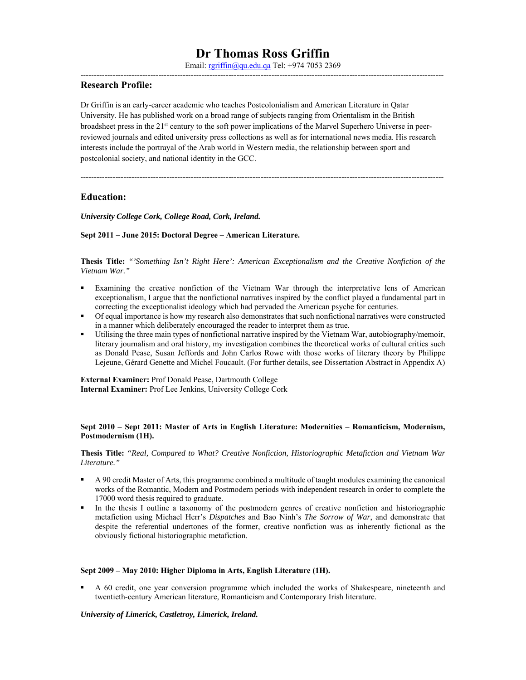Email: rgriffin@qu.edu.qa Tel: +974 7053 2369 ---------------------------------------------------------------------------------------------------------------------------------------

# **Research Profile:**

Dr Griffin is an early-career academic who teaches Postcolonialism and American Literature in Qatar University. He has published work on a broad range of subjects ranging from Orientalism in the British broadsheet press in the 21<sup>st</sup> century to the soft power implications of the Marvel Superhero Universe in peerreviewed journals and edited university press collections as well as for international news media. His research interests include the portrayal of the Arab world in Western media, the relationship between sport and postcolonial society, and national identity in the GCC.

---------------------------------------------------------------------------------------------------------------------------------------

# **Education:**

*University College Cork, College Road, Cork, Ireland.* 

#### **Sept 2011 – June 2015: Doctoral Degree – American Literature.**

**Thesis Title:** *"'Something Isn't Right Here': American Exceptionalism and the Creative Nonfiction of the Vietnam War."* 

- Examining the creative nonfiction of the Vietnam War through the interpretative lens of American exceptionalism, I argue that the nonfictional narratives inspired by the conflict played a fundamental part in correcting the exceptionalist ideology which had pervaded the American psyche for centuries.
- Of equal importance is how my research also demonstrates that such nonfictional narratives were constructed in a manner which deliberately encouraged the reader to interpret them as true.
- Utilising the three main types of nonfictional narrative inspired by the Vietnam War, autobiography/memoir, literary journalism and oral history, my investigation combines the theoretical works of cultural critics such as Donald Pease, Susan Jeffords and John Carlos Rowe with those works of literary theory by Philippe Lejeune, Gérard Genette and Michel Foucault. (For further details, see Dissertation Abstract in Appendix A)

**External Examiner:** Prof Donald Pease, Dartmouth College **Internal Examiner:** Prof Lee Jenkins, University College Cork

#### **Sept 2010 – Sept 2011: Master of Arts in English Literature: Modernities – Romanticism, Modernism, Postmodernism (1H).**

**Thesis Title:** *"Real, Compared to What? Creative Nonfiction, Historiographic Metafiction and Vietnam War Literature."* 

- A 90 credit Master of Arts, this programme combined a multitude of taught modules examining the canonical works of the Romantic, Modern and Postmodern periods with independent research in order to complete the 17000 word thesis required to graduate.
- In the thesis I outline a taxonomy of the postmodern genres of creative nonfiction and historiographic metafiction using Michael Herr's *Dispatches* and Bao Ninh's *The Sorrow of War*, and demonstrate that despite the referential undertones of the former, creative nonfiction was as inherently fictional as the obviously fictional historiographic metafiction.

#### **Sept 2009 – May 2010: Higher Diploma in Arts, English Literature (1H).**

 A 60 credit, one year conversion programme which included the works of Shakespeare, nineteenth and twentieth-century American literature, Romanticism and Contemporary Irish literature.

### *University of Limerick, Castletroy, Limerick, Ireland.*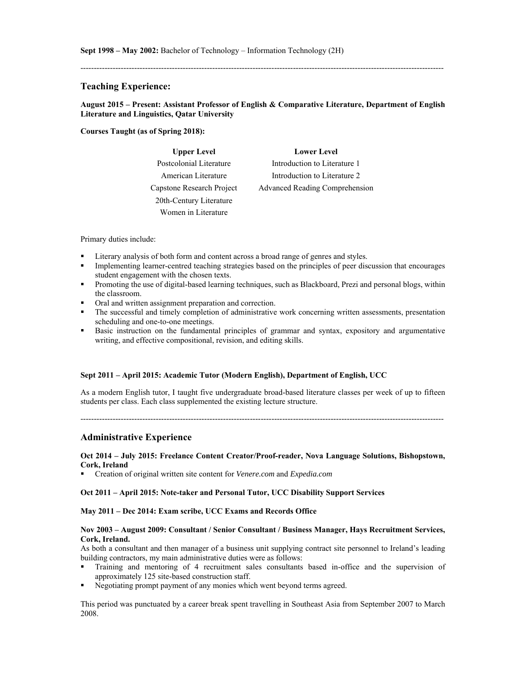---------------------------------------------------------------------------------------------------------------------------------------

# **Teaching Experience:**

### **August 2015 – Present: Assistant Professor of English & Comparative Literature, Department of English Literature and Linguistics, Qatar University**

#### **Courses Taught (as of Spring 2018):**

| <b>Upper Level</b>        | <b>Lower Level</b>             |
|---------------------------|--------------------------------|
| Postcolonial Literature   | Introduction to Literature 1   |
| American Literature       | Introduction to Literature 2   |
| Capstone Research Project | Advanced Reading Comprehension |
| 20th-Century Literature   |                                |
| Women in Literature       |                                |

#### Primary duties include:

- Literary analysis of both form and content across a broad range of genres and styles.
- Implementing learner-centred teaching strategies based on the principles of peer discussion that encourages student engagement with the chosen texts.
- Promoting the use of digital-based learning techniques, such as Blackboard, Prezi and personal blogs, within the classroom.
- Oral and written assignment preparation and correction.
- The successful and timely completion of administrative work concerning written assessments, presentation scheduling and one-to-one meetings.
- **Basic instruction on the fundamental principles of grammar and syntax, expository and argumentative** writing, and effective compositional, revision, and editing skills.

#### **Sept 2011 – April 2015: Academic Tutor (Modern English), Department of English, UCC**

As a modern English tutor, I taught five undergraduate broad-based literature classes per week of up to fifteen students per class. Each class supplemented the existing lecture structure.

---------------------------------------------------------------------------------------------------------------------------------------

### **Administrative Experience**

**Oct 2014 – July 2015: Freelance Content Creator/Proof-reader, Nova Language Solutions, Bishopstown, Cork, Ireland** 

Creation of original written site content for *Venere.com* and *Expedia.com*

#### **Oct 2011 – April 2015: Note-taker and Personal Tutor, UCC Disability Support Services**

#### **May 2011 – Dec 2014: Exam scribe, UCC Exams and Records Office**

### **Nov 2003 – August 2009: Consultant / Senior Consultant / Business Manager, Hays Recruitment Services, Cork, Ireland.**

As both a consultant and then manager of a business unit supplying contract site personnel to Ireland's leading building contractors, my main administrative duties were as follows:

- Training and mentoring of 4 recruitment sales consultants based in-office and the supervision of approximately 125 site-based construction staff.
- Negotiating prompt payment of any monies which went beyond terms agreed.

This period was punctuated by a career break spent travelling in Southeast Asia from September 2007 to March 2008.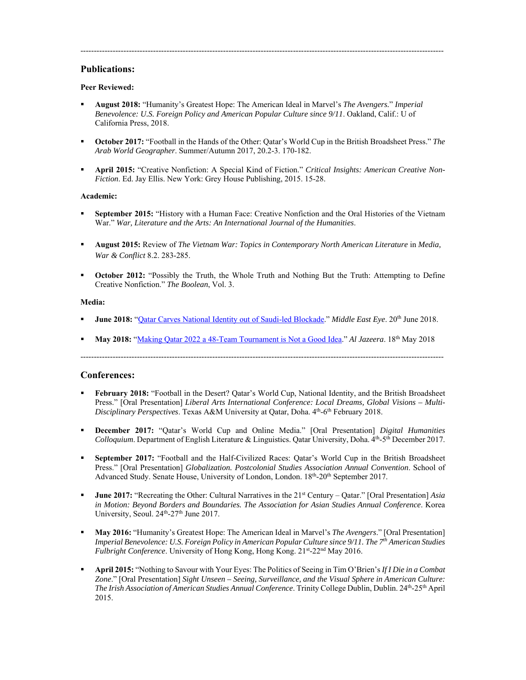# **Publications:**

### **Peer Reviewed:**

- **August 2018:** "Humanity's Greatest Hope: The American Ideal in Marvel's *The Avengers.*" *Imperial Benevolence: U.S. Foreign Policy and American Popular Culture since 9/11*. Oakland, Calif.: U of California Press, 2018.
- **October 2017:** "Football in the Hands of the Other: Qatar's World Cup in the British Broadsheet Press." *The Arab World Geographer*. Summer/Autumn 2017, 20.2-3. 170-182.

---------------------------------------------------------------------------------------------------------------------------------------

 **April 2015:** "Creative Nonfiction: A Special Kind of Fiction." *Critical Insights: American Creative Non-Fiction*. Ed. Jay Ellis. New York: Grey House Publishing, 2015. 15-28.

### **Academic:**

- **September 2015:** "History with a Human Face: Creative Nonfiction and the Oral Histories of the Vietnam War." *War, Literature and the Arts: An International Journal of the Humanities*.
- **August 2015:** Review of *The Vietnam War: Topics in Contemporary North American Literature* in *Media, War & Conflict* 8.2. 283-285.
- **October 2012:** "Possibly the Truth, the Whole Truth and Nothing But the Truth: Attempting to Define Creative Nonfiction." *The Boolean*, Vol. 3.

#### **Media:**

- **June 2018:** "Qatar Carves National Identity out of Saudi-led Blockade." *Middle East Eye*. 20th June 2018.
- **May 2018:** "Making Qatar 2022 a 48-Team Tournament is Not a Good Idea." *Al Jazeera*. 18th May 2018

---------------------------------------------------------------------------------------------------------------------------------------

### **Conferences:**

- **February 2018:** "Football in the Desert? Qatar's World Cup, National Identity, and the British Broadsheet Press." [Oral Presentation] *Liberal Arts International Conference: Local Dreams, Global Visions – Multi-Disciplinary Perspectives*. Texas A&M University at Qatar, Doha. 4th-6th February 2018.
- **December 2017:** "Qatar's World Cup and Online Media." [Oral Presentation] *Digital Humanities Colloquium*. Department of English Literature & Linguistics. Qatar University, Doha. 4th-5th December 2017.
- **September 2017:** "Football and the Half-Civilized Races: Qatar's World Cup in the British Broadsheet Press." [Oral Presentation] *Globalization. Postcolonial Studies Association Annual Convention*. School of Advanced Study. Senate House, University of London, London. 18<sup>th</sup>-20<sup>th</sup> September 2017.
- **June 2017:** "Recreating the Other: Cultural Narratives in the 21<sup>st</sup> Century Qatar." [Oral Presentation] *Asia in Motion: Beyond Borders and Boundaries. The Association for Asian Studies Annual Conference*. Korea University, Seoul. 24<sup>th</sup>-27<sup>th</sup> June 2017.
- **May 2016:** "Humanity's Greatest Hope: The American Ideal in Marvel's *The Avengers*." [Oral Presentation] *Imperial Benevolence: U.S. Foreign Policy in American Popular Culture since 9/11. The 7th American Studies Fulbright Conference*. University of Hong Kong, Hong Kong. 21<sup>st</sup>-22<sup>nd</sup> May 2016.
- **April 2015:** "Nothing to Savour with Your Eyes: The Politics of Seeing in Tim O'Brien's *If I Die in a Combat Zone*." [Oral Presentation] *Sight Unseen – Seeing, Surveillance, and the Visual Sphere in American Culture: The Irish Association of American Studies Annual Conference*. Trinity College Dublin, Dublin. 24<sup>th</sup>-25<sup>th</sup> April 2015.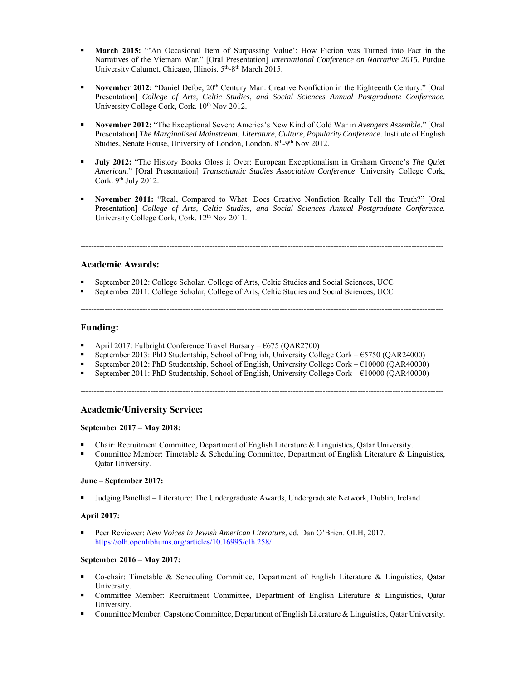- **March 2015:** "'An Occasional Item of Surpassing Value': How Fiction was Turned into Fact in the Narratives of the Vietnam War." [Oral Presentation] *International Conference on Narrative 2015*. Purdue University Calumet, Chicago, Illinois. 5<sup>th</sup>-8<sup>th</sup> March 2015.
- **November 2012:** "Daniel Defoe, 20<sup>th</sup> Century Man: Creative Nonfiction in the Eighteenth Century." [Oral Presentation] *College of Arts, Celtic Studies, and Social Sciences Annual Postgraduate Conference.*  University College Cork, Cork.  $10^{th}$  Nov 2012.
- **November 2012:** "The Exceptional Seven: America's New Kind of Cold War in *Avengers Assemble.*" [Oral Presentation] *The Marginalised Mainstream: Literature, Culture, Popularity Conference*. Institute of English Studies, Senate House, University of London, London. 8<sup>th</sup>-9<sup>th</sup> Nov 2012.
- **July 2012:** "The History Books Gloss it Over: European Exceptionalism in Graham Greene's *The Quiet American.*" [Oral Presentation] *Transatlantic Studies Association Conference*. University College Cork, Cork. 9<sup>th</sup> July 2012.
- **November 2011:** "Real, Compared to What: Does Creative Nonfiction Really Tell the Truth?" [Oral Presentation] *College of Arts, Celtic Studies, and Social Sciences Annual Postgraduate Conference.*  University College Cork, Cork. 12<sup>th</sup> Nov 2011.

---------------------------------------------------------------------------------------------------------------------------------------

# **Academic Awards:**

- September 2012: College Scholar, College of Arts, Celtic Studies and Social Sciences, UCC
- September 2011: College Scholar, College of Arts, Celtic Studies and Social Sciences, UCC

---------------------------------------------------------------------------------------------------------------------------------------

### **Funding:**

- April 2017: Fulbright Conference Travel Bursary €675 (QAR2700)
- September 2013: PhD Studentship, School of English, University College Cork €5750 (QAR24000)
- September 2012: PhD Studentship, School of English, University College Cork €10000 (QAR40000)
- September 2011: PhD Studentship, School of English, University College Cork €10000 (QAR40000)

---------------------------------------------------------------------------------------------------------------------------------------

### **Academic/University Service:**

### **September 2017 – May 2018:**

- Chair: Recruitment Committee, Department of English Literature & Linguistics, Qatar University.
- Committee Member: Timetable & Scheduling Committee, Department of English Literature & Linguistics, Qatar University.

# **June – September 2017:**

Judging Panellist – Literature: The Undergraduate Awards, Undergraduate Network, Dublin, Ireland.

### **April 2017:**

 Peer Reviewer: *New Voices in Jewish American Literature*, ed. Dan O'Brien. OLH, 2017. https://olh.openlibhums.org/articles/10.16995/olh.258/

### **September 2016 – May 2017:**

- Co-chair: Timetable & Scheduling Committee, Department of English Literature & Linguistics, Qatar University.
- Committee Member: Recruitment Committee, Department of English Literature & Linguistics, Qatar University.
- Committee Member: Capstone Committee, Department of English Literature & Linguistics, Qatar University.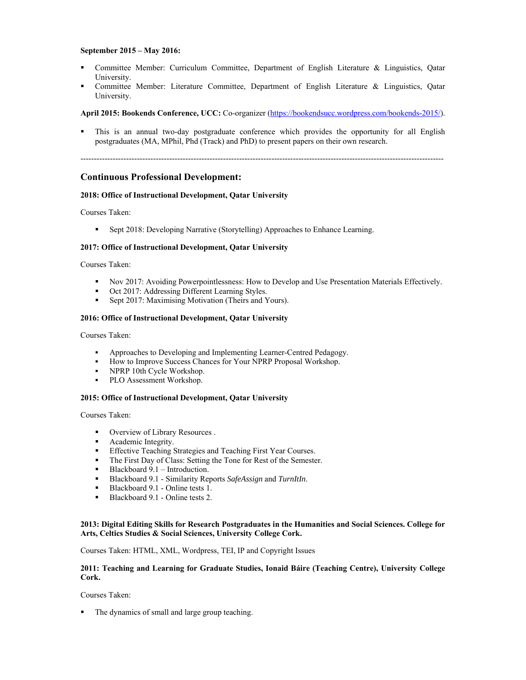### **September 2015 – May 2016:**

- Committee Member: Curriculum Committee, Department of English Literature & Linguistics, Qatar University.
- Committee Member: Literature Committee, Department of English Literature & Linguistics, Qatar University.

### **April 2015: Bookends Conference, UCC:** Co-organizer (https://bookendsucc.wordpress.com/bookends-2015/).

 This is an annual two-day postgraduate conference which provides the opportunity for all English postgraduates (MA, MPhil, Phd (Track) and PhD) to present papers on their own research.

---------------------------------------------------------------------------------------------------------------------------------------

### **Continuous Professional Development:**

#### **2018: Office of Instructional Development, Qatar University**

Courses Taken:

**Sept 2018: Developing Narrative (Storytelling) Approaches to Enhance Learning.** 

#### **2017: Office of Instructional Development, Qatar University**

Courses Taken:

- Nov 2017: Avoiding Powerpointlessness: How to Develop and Use Presentation Materials Effectively.
- Oct 2017: Addressing Different Learning Styles.
- **Sept 2017: Maximising Motivation (Theirs and Yours).**

#### **2016: Office of Instructional Development, Qatar University**

Courses Taken:

- Approaches to Developing and Implementing Learner-Centred Pedagogy.
- How to Improve Success Chances for Your NPRP Proposal Workshop.<br>■ NPRP 10th Cycle Workshop.
- NPRP 10th Cycle Workshop.
- PLO Assessment Workshop.

#### **2015: Office of Instructional Development, Qatar University**

Courses Taken:

- Overview of Library Resources .
- **•** Academic Integrity.
- Effective Teaching Strategies and Teaching First Year Courses.
- The First Day of Class: Setting the Tone for Rest of the Semester.
- Blackboard 9.1 Introduction.
- Blackboard 9.1 Similarity Reports *SafeAssign* and *TurnItIn*.
- Blackboard 9.1 Online tests 1.
- Blackboard 9.1 Online tests 2.

### **2013: Digital Editing Skills for Research Postgraduates in the Humanities and Social Sciences. College for Arts, Celtics Studies & Social Sciences, University College Cork.**

Courses Taken: HTML, XML, Wordpress, TEI, IP and Copyright Issues

#### **2011: Teaching and Learning for Graduate Studies, Ionaid Báire (Teaching Centre), University College Cork.**

Courses Taken:

• The dynamics of small and large group teaching.